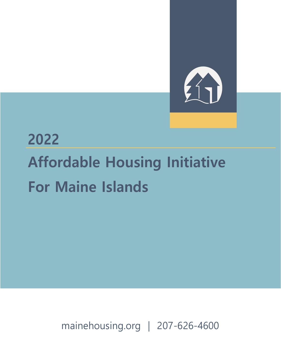# 

# **2022 Affordable Housing Initiative For Maine Islands**

mainehousing.org | 207-626-4600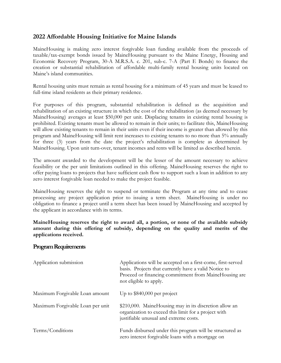## **2022 Affordable Housing Initiative for Maine Islands**

MaineHousing is making zero interest forgivable loan funding available from the proceeds of taxable/tax-exempt bonds issued by MaineHousing pursuant to the Maine Energy, Housing and Economic Recovery Program, 30-A M.R.S.A. c. 201, sub-c. 7-A (Part E Bonds) to finance the creation or substantial rehabilitation of affordable multi-family rental housing units located on Maine's island communities.

Rental housing units must remain as rental housing for a minimum of 45 years and must be leased to full-time island residents as their primary residence.

For purposes of this program, substantial rehabilitation is defined as the acquisition and rehabilitation of an existing structure in which the cost of the rehabilitation (as deemed necessary by MaineHousing) averages at least \$50,000 per unit. Displacing tenants in existing rental housing is prohibited. Existing tenants must be allowed to remain in their units; to facilitate this, MaineHousing will allow existing tenants to remain in their units even if their income is greater than allowed by this program and MaineHousing will limit rent increases to existing tenants to no more than 5% annually for three (3) years from the date the project's rehabilitation is complete as determined by MaineHousing. Upon unit turn-over, tenant incomes and rents will be limited as described herein.

The amount awarded to the development will be the lesser of the amount necessary to achieve feasibility or the per unit limitations outlined in this offering. MaineHousing reserves the right to offer paying loans to projects that have sufficient cash flow to support such a loan in addition to any zero interest forgivable loan needed to make the project feasible.

MaineHousing reserves the right to suspend or terminate the Program at any time and to cease processing any project application prior to issuing a term sheet. MaineHousing is under no obligation to finance a project until a term sheet has been issued by MaineHousing and accepted by the applicant in accordance with its terms.

**MaineHousing reserves the right to award all, a portion, or none of the available subsidy amount during this offering of subsidy, depending on the quality and merits of the applications received.**

#### **Program Requirements**

| Application submission           | Applications will be accepted on a first-come, first-served<br>basis. Projects that currently have a valid Notice to<br>Proceed or financing commitment from MaineHousing are<br>not eligible to apply. |
|----------------------------------|---------------------------------------------------------------------------------------------------------------------------------------------------------------------------------------------------------|
| Maximum Forgivable Loan amount   | Up to $$840,000$ per project                                                                                                                                                                            |
| Maximum Forgivable Loan per unit | \$210,000. MaineHousing may in its discretion allow an<br>organization to exceed this limit for a project with<br>justifiable unusual and extreme costs.                                                |
| Terms/Conditions                 | Funds disbursed under this program will be structured as<br>zero interest forgivable loans with a mortgage on                                                                                           |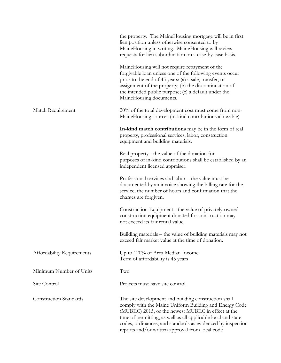|                               | the property. The MaineHousing mortgage will be in first<br>lien position unless otherwise consented to by<br>MaineHousing in writing. MaineHousing will review<br>requests for lien subordination on a case-by-case basis.                                                                                                                             |
|-------------------------------|---------------------------------------------------------------------------------------------------------------------------------------------------------------------------------------------------------------------------------------------------------------------------------------------------------------------------------------------------------|
|                               | MaineHousing will not require repayment of the<br>forgivable loan unless one of the following events occur<br>prior to the end of 45 years: (a) a sale, transfer, or<br>assignment of the property; (b) the discontinuation of<br>the intended public purpose; (c) a default under the<br>MaineHousing documents.                                       |
| Match Requirement             | 20% of the total development cost must come from non-<br>MaineHousing sources (in-kind contributions allowable)                                                                                                                                                                                                                                         |
|                               | In-kind match contributions may be in the form of real<br>property, professional services, labor, construction<br>equipment and building materials.                                                                                                                                                                                                     |
|                               | Real property - the value of the donation for<br>purposes of in-kind contributions shall be established by an<br>independent licensed appraiser.                                                                                                                                                                                                        |
|                               | Professional services and labor – the value must be<br>documented by an invoice showing the billing rate for the<br>service, the number of hours and confirmation that the<br>charges are forgiven.                                                                                                                                                     |
|                               | Construction Equipment - the value of privately-owned<br>construction equipment donated for construction may<br>not exceed its fair rental value.                                                                                                                                                                                                       |
|                               | Building materials – the value of building materials may not<br>exceed fair market value at the time of donation.                                                                                                                                                                                                                                       |
| Affordability Requirements    | Up to 120% of Area Median Income<br>Term of affordability is 45 years                                                                                                                                                                                                                                                                                   |
| Minimum Number of Units       | Two                                                                                                                                                                                                                                                                                                                                                     |
| Site Control                  | Projects must have site control.                                                                                                                                                                                                                                                                                                                        |
| <b>Construction Standards</b> | The site development and building construction shall<br>comply with the Maine Uniform Building and Energy Code<br>(MUBEC) 2015, or the newest MUBEC in effect at the<br>time of permitting, as well as all applicable local and state<br>codes, ordinances, and standards as evidenced by inspection<br>reports and/or written approval from local code |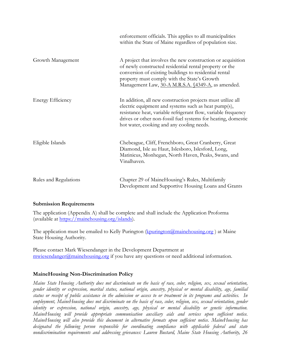|                          | enforcement officials. This applies to all municipalities<br>within the State of Maine regardless of population size.                                                                                                                                                                               |
|--------------------------|-----------------------------------------------------------------------------------------------------------------------------------------------------------------------------------------------------------------------------------------------------------------------------------------------------|
| Growth Management        | A project that involves the new construction or acquisition<br>of newly constructed residential rental property or the<br>conversion of existing buildings to residential rental<br>property must comply with the State's Growth<br>Management Law, 30-A M.R.S.A. §4349-A, as amended.              |
| <b>Energy Efficiency</b> | In addition, all new construction projects must utilize all<br>electric equipment and systems such as heat pump(s),<br>resistance heat, variable refrigerant flow, variable frequency<br>drives or other non-fossil fuel systems for heating, domestic<br>hot water, cooking and any cooling needs. |
| Eligible Islands         | Chebeague, Cliff, Frenchboro, Great Cranberry, Great<br>Diamond, Isle au Haut, Islesboro, Islesford, Long,<br>Matinicus, Monhegan, North Haven, Peaks, Swans, and<br>Vinalhaven.                                                                                                                    |
| Rules and Regulations    | Chapter 29 of MaineHousing's Rules, Multifamily<br>Development and Supportive Housing Loans and Grants                                                                                                                                                                                              |

#### **Submission Requirements**

The application (Appendix A) shall be complete and shall include the Application Proforma (available at [https://mainehousing.org/islands\)](https://mainehousing.org/islands).

The application must be emailed to Kelly Purington (kpurington @mainehousing.org) at Maine State Housing Authority.

Please contact Mark Wiesendanger in the Development Department at [mwiesendanger@mainehousing.org](mailto:mwiesendanger@mainehousing.org) if you have any questions or need additional information.

#### **MaineHousing Non-Discrimination Policy**

*Maine State Housing Authority does not discriminate on the basis of race, color, religion, sex, sexual orientation, gender identity or expression, marital status, national origin, ancestry, physical or mental disability, age, familial status or receipt of public assistance in the admission or access to or treatment in its programs and activities. In employment, MaineHousing does not discriminate on the basis of race, color, religion, sex, sexual orientation, gender identity or expression, national origin, ancestry, age, physical or mental disability or genetic information. MaineHousing will provide appropriate communication auxiliary aids and services upon sufficient notice. MaineHousing will also provide this document in alternative formats upon sufficient notice. MaineHousing has designated the following person responsible for coordinating compliance with applicable federal and state nondiscrimination requirements and addressing grievances: Lauren Bustard, Maine State Housing Authority, 26*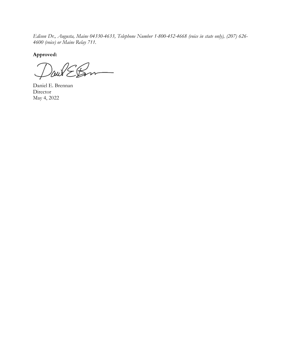*Edison Dr., Augusta, Maine 04330-4633, Telephone Number 1-800-452-4668 (voice in state only), (207) 626- 4600 (voice) or Maine Relay 711.*

**Approved:**

aut

Daniel E. Brennan Director May 4, 2022